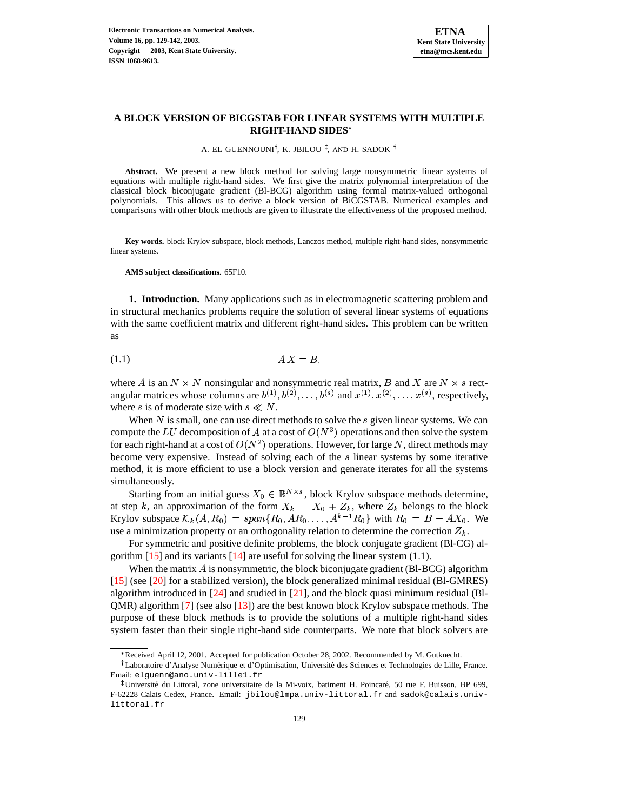

# **A BLOCK VERSION OF BICGSTAB FOR LINEAR SYSTEMS WITH MULTIPLE RIGHT-HAND SIDES**

A. EL GUENNOUNI<sup>†</sup>, K. JBILOU <sup>‡</sup>, AND H. SADOK <sup>†</sup>

**Abstract.** We present a new block method for solving large nonsymmetric linear systems of equations with multiple right-hand sides. We first give the matrix polynomial interpretation of the classical block biconjugate gradient (Bl-BCG) algorithm using formal matrix-valued orthogonal polynomials. This allows us to derive a block version of BiCGSTAB. Numerical examples and comparisons with other block methods are given to illustrate the effectiveness of the proposed method.

**Key words.** block Krylov subspace, block methods, Lanczos method, multiple right-hand sides, nonsymmetric linear systems.

**AMS subject classifications.** 65F10.

**1. Introduction.** Many applications such as in electromagnetic scattering problem and in structural mechanics problems require the solution of several linear systems of equations with the same coefficient matrix and different right-hand sides. This problem can be written as

$$
(1.1)\t\t\t\tAX = B
$$

where A is an  $N \times N$  nonsingular and nonsymmetric real matrix, B and X are  $N \times s$  rectangular matrices whose columns are  $b^{(1)}, b^{(2)}, \ldots, b^{(s)}$  and  $x^{(1)}, x^{(2)}, \ldots, x^{(s)}$ , respectively, where s is of moderate size with  $s \ll N$ .

When  $N$  is small, one can use direct methods to solve the  $s$  given linear systems. We can compute the LU decomposition of A at a cost of  $O(N^3)$  operations and then solve the system for each right-hand at a cost of  $O(N^2)$  operations. However, for large N, direct methods may become very expensive. Instead of solving each of the  $s$  linear systems by some iterative method, it is more efficient to use a block version and generate iterates for all the systems simultaneously.

Starting from an initial guess  $X_0 \in \mathbb{R}^{N \times s}$ , block Krylov subspace methods determine, at step k, an approximation of the form  $X_k = X_0 + Z_k$ , where  $Z_k$  belongs to the block Krylov subspace  $\mathcal{K}_k(A, R_0) = span\{R_0, AR_0, \ldots, A^{k-1}R_0\}$  with  $R_0 = B - AX_0$ . We use a minimization property or an orthogonality relation to determine the correction  $Z_k$ .

For symmetric and positive definite problems, the block conjugate gradient (Bl-CG) algorithm  $[15]$  and its variants  $[14]$  are useful for solving the linear system  $(1.1)$ .

When the matrix  $\vec{A}$  is nonsymmetric, the block biconjugate gradient (Bl-BCG) algorithm [\[15\]](#page-13-0) (see [\[20\]](#page-13-2) for a stabilized version), the block generalized minimal residual (Bl-GMRES) algorithm introduced in  $[24]$  and studied in  $[21]$ , and the block quasi minimum residual (Bl- $QMR$ ) algorithm [\[7\]](#page-13-5) (see also [\[13\]](#page-13-6)) are the best known block Krylov subspace methods. The purpose of these block methods is to provide the solutions of a multiple right-hand sides system faster than their single right-hand side counterparts. We note that block solvers are

<sup>\*</sup> Received April 12, 2001. Accepted for publication October 28, 2002. Recommended by M. Gutknecht.

<sup>&</sup>lt;sup>†</sup>Laboratoire d'Analyse Numérique et d'Optimisation, Université des Sciences et Technologies de Lille, France. Email: elguenn@ano.univ-lille1.fr

<sup>&</sup>lt;sup>‡</sup>Université du Littoral, zone universitaire de la Mi-voix, batiment H. Poincaré, 50 rue F. Buisson, BP 699, F-62228 Calais Cedex, France. Email: jbilou@lmpa.univ-littoral.fr and sadok@calais.univlittoral.fr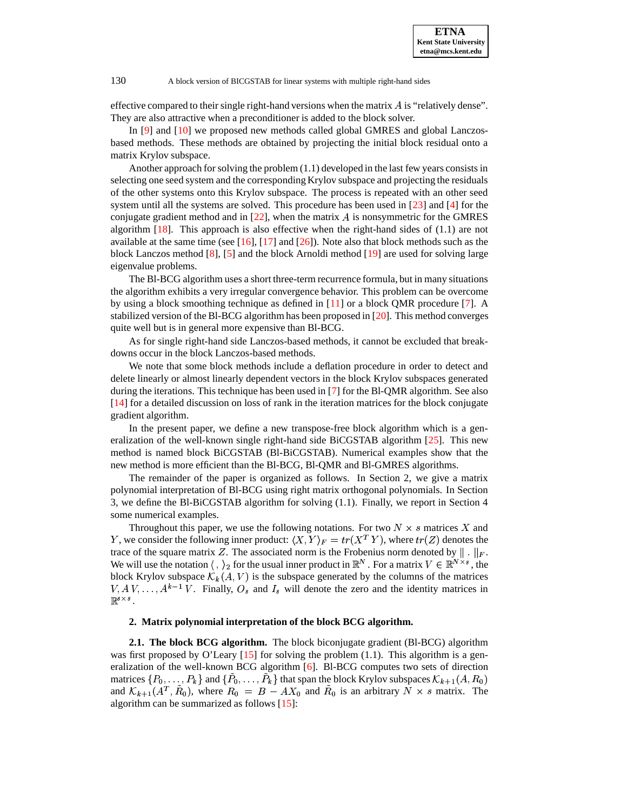effective compared to their single right-hand versions when the matrix  $\vec{A}$  is "relatively dense". They are also attractive when a preconditioner is added to the block solver.

In [\[9\]](#page-13-7) and [\[10\]](#page-13-8) we proposed new methods called global GMRES and global Lanczosbased methods. These methods are obtained by projecting the initial block residual onto a matrix Krylov subspace.

Another approach for solving the problem  $(1.1)$  developed in the last few years consists in selecting one seed system and the corresponding Krylov subspace and projecting the residuals of the other systems onto this Krylov subspace. The process is repeated with an other seed system until all the systems are solved. This procedure has been used in [\[23\]](#page-13-9) and [\[4\]](#page-13-10) for the conjugate gradient method and in  $[22]$ , when the matrix  $A$  is nonsymmetric for the GMRES algorithm  $[18]$ . This approach is also effective when the right-hand sides of  $(1.1)$  are not available at the same time (see  $[16]$ ,  $[17]$  and  $[26]$ ). Note also that block methods such as the block Lanczos method [\[8\]](#page-13-16), [\[5\]](#page-13-17) and the block Arnoldi method [\[19\]](#page-13-18) are used for solving large eigenvalue problems.

The Bl-BCG algorithm uses a short three-term recurrence formula, but in many situations the algorithm exhibits a very irregular convergence behavior. This problem can be overcome by using a block smoothing technique as defined in [\[11\]](#page-13-19) or a block QMR procedure [\[7\]](#page-13-5). A stabilized version of the Bl-BCG algorithm has been proposed in [\[20\]](#page-13-2). This method converges quite well but is in general more expensive than Bl-BCG.

As for single right-hand side Lanczos-based methods, it cannot be excluded that breakdowns occur in the block Lanczos-based methods.

We note that some block methods include a deflation procedure in order to detect and delete linearly or almost linearly dependent vectors in the block Krylov subspaces generated during the iterations. This technique has been used in [\[7\]](#page-13-5) for the Bl-QMR algorithm. See also [\[14\]](#page-13-1) for a detailed discussion on loss of rank in the iteration matrices for the block conjugate gradient algorithm.

In the present paper, we define a new transpose-free block algorithm which is a generalization of the well-known single right-hand side BiCGSTAB algorithm [\[25\]](#page-13-20). This new method is named block BiCGSTAB (Bl-BiCGSTAB). Numerical examples show that the new method is more efficient than the Bl-BCG, Bl-QMR and Bl-GMRES algorithms.

The remainder of the paper is organized as follows. In Section 2, we give a matrix polynomial interpretation of Bl-BCG using right matrix orthogonal polynomials. In Section 3, we define the Bl-BiCGSTAB algorithm for solving (1.1). Finally, we report in Section 4 some numerical examples.

Throughout this paper, we use the following notations. For two  $N \times s$  matrices X and Y, we consider the following inner product:  $\langle X, Y \rangle_F = tr(X^T Y)$ , where  $tr(Z)$  denotes the trace of the square matrix Z. The associated norm is the Frobenius norm denoted by  $\|\cdot\|_F$ . We will use the notation  $\langle , \rangle_2$  for the usual inner product in  $\mathbb{R}^N$ . For a matrix  $V \in \mathbb{R}^{N \times s}$ , the block Krylov subspace  $\mathcal{K}_k(A, V)$  is the subspace generated by the columns of the matrices  $V, A V, \ldots, A^{k-1} V$ . Finally,  $O_s$  and  $I_s$  will denote the zero and the identity matrices in  $\mathbb{R}^{s \times s}$  .

### **2. Matrix polynomial interpretation of the block BCG algorithm.**

**2.1. The block BCG algorithm.** The block biconjugate gradient (Bl-BCG) algorithm was first proposed by O'Leary  $[15]$  for solving the problem  $(1.1)$ . This algorithm is a generalization of the well-known BCG algorithm  $[6]$ . Bl-BCG computes two sets of direction matrices  $\{P_0, \ldots, P_k\}$  and  $\{P_0, \ldots, P_k\}$  that span the block Krylov subspaces  $\mathcal{K}_{k+1}(A, R_0)$ and  $\mathcal{K}_{k+1}(A^T, R_0)$ , where  $R_0 = B - AX_0$  and  $R_0$  is an arbitrary  $N \times s$  matrix. The algorithm can be summarized as follows [\[15\]](#page-13-0):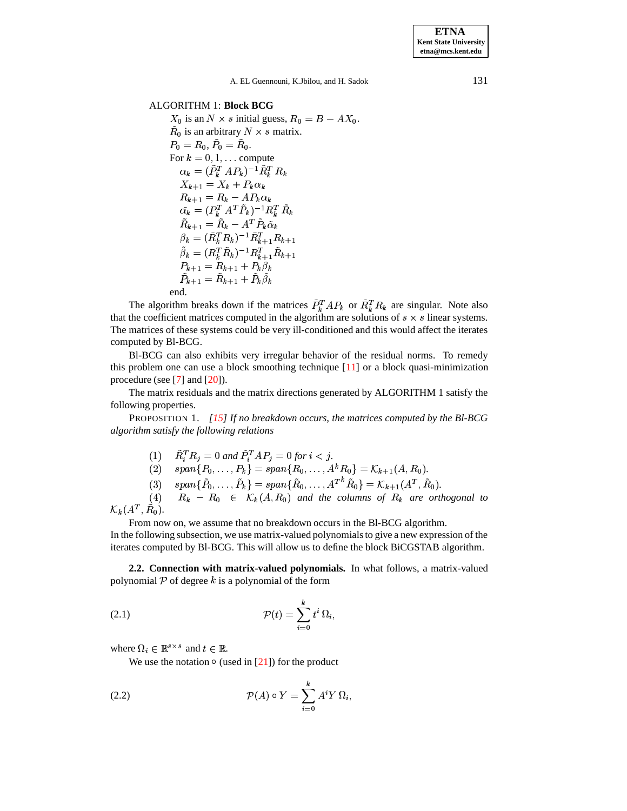**ETNA Kent State University etna@mcs.kent.edu**

A. EL Guennouni, K.Jbilou, and H. Sadok 131

## ALGORITHM 1: **Block BCG**

 $X_0$  is an  $N \times s$  initial guess,  $R_0 = B - AX_0$ .  $\tilde{R}_0$  is an arbitrary  $N \times s$  matrix.  $P_0 = R_0, P_0 = R_0.$ For  $k = 0, 1, \dots$  compute  $\alpha_k = (\tilde{P}_k^TAP_k)^{-1}\tilde{R}_k^T R_k$  $X_{k+1} = X_k + P_k \alpha_k$  $R_{k+1} = R_k - AP_k \alpha_k$  $\tilde{\alpha_k} = (P_k^T A^T \tilde{P}_k)^{-1} R_k^T \tilde{R}_k$  $R_{k+1} = R_k - A^T P_k \tilde{\alpha}_k$  $\beta_k = (\tilde{R}_k^T \tilde{R}_k)^{-1} \tilde{R}_{k+1}^T \tilde{R}_{k+1}$  $\tilde{\beta}_k = (R_k^T \tilde{R}_k)^{-1} R_{k+1}^T \tilde{R}_{k+1}$  $P_{k+1} = R_{k+1} + P_k \beta_k$  $P_{k+1} = R_{k+1} + P_k \beta_k$ end.

The algorithm breaks down if the matrices  $P_k^TAP_k$  or  $R_k^T R_k$  are singular. Note also that the coefficient matrices computed in the algorithm are solutions of  $s \times s$  linear systems. The matrices of these systems could be very ill-conditioned and this would affect the iterates computed by Bl-BCG.

Bl-BCG can also exhibits very irregular behavior of the residual norms. To remedy this problem one can use a block smoothing technique [\[11\]](#page-13-19) or a block quasi-minimization procedure (see [\[7\]](#page-13-5) and [\[20\]](#page-13-2)).

The matrix residuals and the matrix directions generated by ALGORITHM 1 satisfy the following properties.

PROPOSITION 1. *[\[15\]](#page-13-0) If no breakdown occurs, the matrices computed by the Bl-BCG algorithm satisfy the following relations*

 $P_i^T R_j = 0$  and  $P_i^T A P_j = 0$  for  $i < j$ .

(2) 
$$
span\{P_0,\ldots,P_k\} = span\{R_0,\ldots,A^kR_0\} = \mathcal{K}_{k+1}(A,R_0).
$$

(3)  $span\{\tilde{P}_0, \ldots, \tilde{P}_k\} = span\{\tilde{R}_0, \ldots, A^{T^k} \tilde{R}_0\} = \mathcal{K}_{k+1}(A^T, \tilde{R}_0).$  $_1(A^T,R_0).$ 

 $R_k - R_0 \in K_k(A, R_0)$  and the columns of  $R_k$  are orthogonal to  ${\cal K}_{\bm k}(A^T,R_0).$ 

From now on, we assume that no breakdown occurs in the Bl-BCG algorithm.

In the following subsection, we use matrix-valued polynomialsto give a new expression of the iterates computed by Bl-BCG. This will allow us to define the block BiCGSTAB algorithm.

**2.2. Connection with matrix-valued polynomials.** In what follows, a matrix-valued polynomial  $P$  of degree k is a polynomial of the form

$$
\mathcal{P}(t) = \sum_{i=0}^{k} t^i \, \Omega_i,
$$

where  $\Omega_i \in \mathbb{R}^{s \times s}$  and  $t \in \mathbb{R}$ .

We use the notation  $\circ$  (used in [\[21\]](#page-13-4)) for the product

(2.2) 
$$
\mathcal{P}(A) \circ Y = \sum_{i=0}^{k} A^{i} Y \Omega_{i},
$$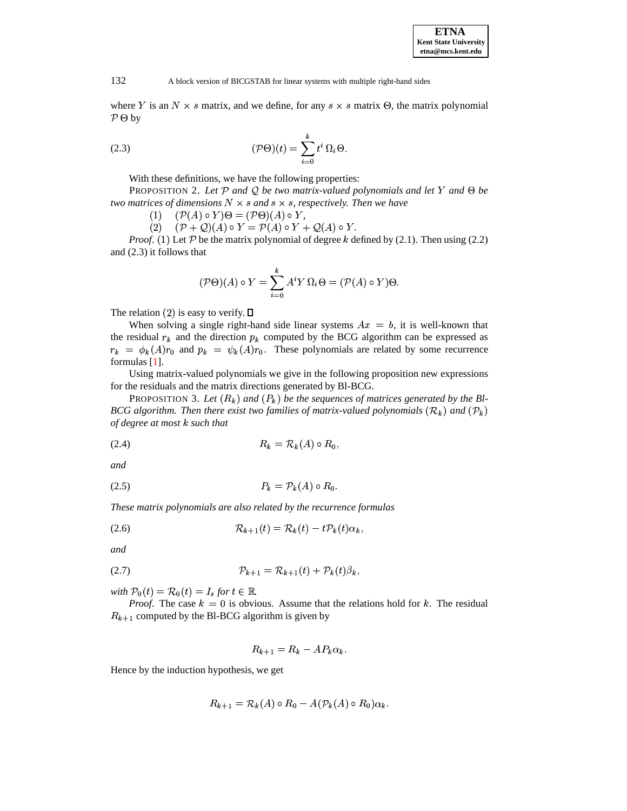where Y is an  $N \times s$  matrix, and we define, for any  $s \times s$  matrix  $\Theta$ , the matrix polynomial  $P \Theta$  by

(2.3) 
$$
(\mathcal{P}\Theta)(t) = \sum_{i=0}^{k} t^i \,\Omega_i \Theta.
$$

With these definitions, we have the following properties:

PROPOSITION 2. Let  $P$  and Q be two matrix-valued polynomials and let Y and  $\Theta$  be *two matrices of dimensions*  $N \times s$  *and*  $s \times s$ *, respectively. Then we have* 

 $(1)$  $(\mathcal{P}(A) \circ Y) \Theta = (\mathcal{P} \Theta)(A) \circ Y,$ 

 $(2)$   $(\mathcal{P} + \mathcal{Q})(A) \circ Y = \mathcal{P}(A) \circ Y + \mathcal{Q}(A) \circ Y.$ 

*Proof.* (1) Let  $P$  be the matrix polynomial of degree  $k$  defined by (2.1). Then using (2.2) and (2.3) it follows that

$$
(\mathcal{P}\Theta)(A) \circ Y = \sum_{i=0}^{k} A^{i} Y \Omega_{i} \Theta = (\mathcal{P}(A) \circ Y) \Theta.
$$

The relation (2) is easy to verify.  $\square$ 

When solving a single right-hand side linear systems  $Ax = b$ , it is well-known that the residual  $r_k$  and the direction  $p_k$  computed by the BCG algorithm can be expressed as  $r_k = \phi_k(A)r_0$  and  $p_k = \psi_k(A)r_0$ . These polynomials are related by some recurrence formulas [\[1\]](#page-12-0).

Using matrix-valued polynomials we give in the following proposition new expressions for the residuals and the matrix directions generated by Bl-BCG.

PROPOSITION 3. Let  $(R_k)$  and  $(P_k)$  be the sequences of matrices generated by the Bl-*BCG* algorithm. Then there exist two families of matrix-valued polynomials  $(\mathcal{R}_k)$  and  $(\mathcal{P}_k)$ *of degree at most* <sup>&</sup>gt; *such that*

$$
(2.4) \t\t R_k = \mathcal{R}_k(A) \circ R_0,
$$

*and*

$$
(2.5) \t\t\t P_k = \mathcal{P}_k(A) \circ R_0.
$$

*These matrix polynomials are also related by the recurrence formulas*

$$
(2.6) \t\t\t \mathcal{R}_{k+1}(t) = \mathcal{R}_k(t) - t \mathcal{P}_k(t) \alpha_k,
$$

*and*

$$
(2.7) \t\t\t\t \mathcal{P}_{k+1} = \mathcal{R}_{k+1}(t) + \mathcal{P}_k(t)\beta_k,
$$

*with*  $P_0(t) = R_0(t) = I_s$  for  $t \in \mathbb{R}$ .

*Proof.* The case  $k = 0$  is obvious. Assume that the relations hold for k. The residual  $R_{k+1}$  computed by the Bl-BCG algorithm is given by

$$
R_{k+1} = R_k - AP_k \alpha_k.
$$

Hence by the induction hypothesis, we get

$$
R_{k+1} = \mathcal{R}_k(A) \circ R_0 - A(\mathcal{P}_k(A) \circ R_0) \alpha_k.
$$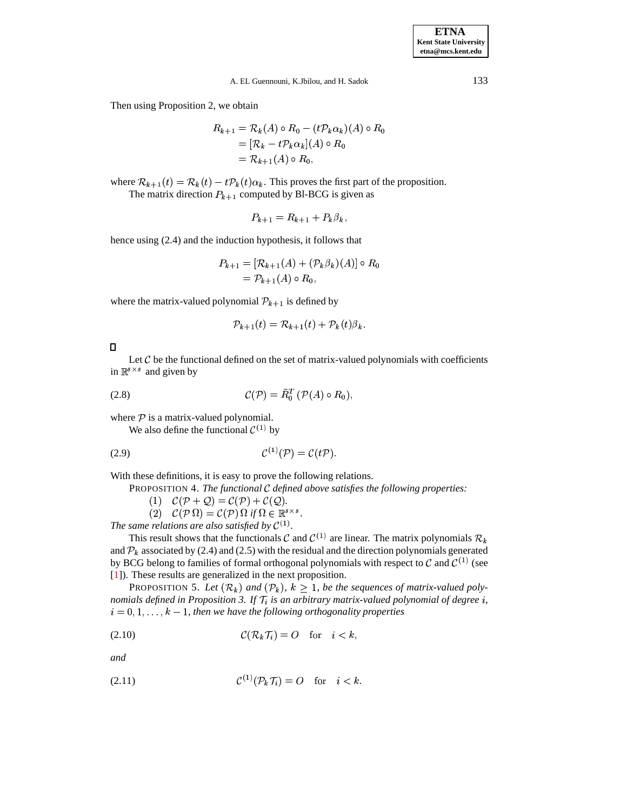**ETNA Kent State University etna@mcs.kent.edu**

A. EL Guennouni, K.Jbilou, and H. Sadok 133

Then using Proposition 2, we obtain

$$
R_{k+1} = \mathcal{R}_k(A) \circ R_0 - (t\mathcal{P}_k \alpha_k)(A) \circ R_0
$$
  
=  $[\mathcal{R}_k - t\mathcal{P}_k \alpha_k](A) \circ R_0$   
=  $\mathcal{R}_{k+1}(A) \circ R_0$ ,

where  $\mathcal{R}_{k+1}(t) = \mathcal{R}_k(t) - t \mathcal{P}_k(t) \alpha_k$ . This proves the first part of the proposition. The matrix direction  $P_{k+1}$  computed by Bl-BCG is given as

$$
P_{k+1}=R_{k+1}+P_k\beta_k,
$$

hence using (2.4) and the induction hypothesis, it follows that

$$
P_{k+1} = [\mathcal{R}_{k+1}(A) + (\mathcal{P}_k \beta_k)(A)] \circ R_0
$$
  
=  $\mathcal{P}_{k+1}(A) \circ R_0$ ,

where the matrix-valued polynomial  $P_{k+1}$  is defined by

$$
\mathcal{P}_{k+1}(t) = \mathcal{R}_{k+1}(t) + \mathcal{P}_k(t)\beta_k.
$$

 $\Box$ 

Let  $C$  be the functional defined on the set of matrix-valued polynomials with coefficients in  $\mathbb{R}^{s \times s}$  and given by

$$
C(\mathcal{P}) = \tilde{R}_0^T \left( \mathcal{P}(A) \circ R_0 \right),
$$

where  $P$  is a matrix-valued polynomial.

We also define the functional  $\mathcal{C}^{(1)}$  by

$$
C^{(1)}(\mathcal{P}) = C(t\mathcal{P}).
$$

With these definitions, it is easy to prove the following relations.

PROPOSITION 4. *The functional defined above satisfies the following properties:*

(1)  $\mathcal{C}(\mathcal{P}+\mathcal{Q})=\mathcal{C}(\mathcal{P})+\mathcal{C}(\mathcal{Q}).$ 

-P2 -  $\Omega$ ) =  $\mathcal{C}(\mathcal{P}) \Omega$  if  $\Omega \in \mathbb{R}^{s \times s}$ .

*The same relations are also satisfied by*  $C^{(1)}$ *.* 

This result shows that the functionals C and  $\mathcal{C}^{(1)}$  are linear. The matrix polynomials  $\mathcal{R}_k$ and  $\mathcal{P}_k$  associated by (2.4) and (2.5) with the residual and the direction polynomials generated by BCG belong to families of formal orthogonal polynomials with respect to  $\mathcal C$  and  $\mathcal C^{(1)}$  (see [\[1\]](#page-12-0)). These results are generalized in the next proposition.

PROPOSITION 5. Let  $(\mathcal{R}_k)$  and  $(\mathcal{P}_k)$ ,  $k \geq 1$ , be the sequences of matrix-valued poly*nomials* defined in Proposition 3. If  $\mathcal{T}_i$  is an arbitrary matrix-valued polynomial of degree  $i$ ,  $i = 0, 1, \ldots, k - 1$ , then we have the following orthogonality properties

$$
C(\mathcal{R}_k \mathcal{T}_i) = O \quad \text{for} \quad i < k,
$$

*and*

$$
(2.11) \t\t \t\t \mathcal{C}^{(1)}(\mathcal{P}_k \mathcal{T}_i) = O \t\t \text{for} \t\t i < k.
$$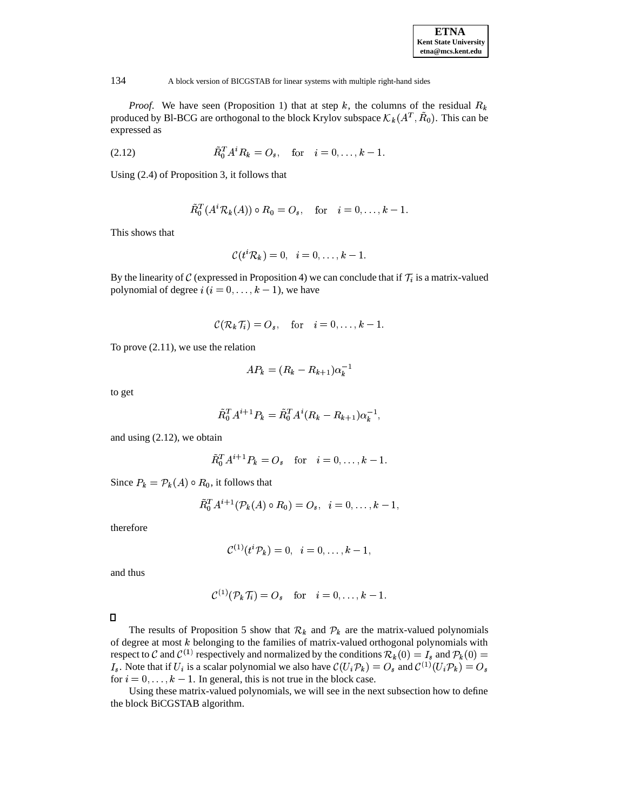*Proof.* We have seen (Proposition 1) that at step  $k$ , the columns of the residual  $R_k$ produced by Bl-BCG are orthogonal to the block Krylov subspace  $\mathcal{K}_k(A^T, R_0)$ . This can be expressed as

(2.12) 
$$
\tilde{R}_0^T A^i R_k = O_s, \text{ for } i = 0, ..., k-1.
$$

Using (2.4) of Proposition 3, it follows that

$$
\tilde{R}_0^T(A^i\mathcal{R}_k(A))\circ R_0=O_s,\quad\text{for}\quad i=0,\ldots,k-1.
$$

This shows that

$$
\mathcal{C}(t^i\mathcal{R}_k)=0,\;\;i=0,\ldots,k-1.
$$

By the linearity of C (expressed in Proposition 4) we can conclude that if  $\mathcal{T}_i$  is a matrix-valued polynomial of degree  $i$   $(i = 0, \ldots, k - 1)$ , we have

$$
\mathcal{C}(\mathcal{R}_k \mathcal{T}_i) = O_s, \quad \text{for} \quad i = 0, \ldots, k-1.
$$

To prove (2.11), we use the relation

$$
AP_k = (R_k - R_{k+1})\alpha_k^{-1}
$$

to get

$$
\tilde{R}_0^T A^{i+1} P_k = \tilde{R}_0^T A^i (R_k - R_{k+1}) \alpha_k^{-1},
$$

and using (2.12), we obtain

$$
\tilde{R}_0^T A^{i+1} P_k = O_s
$$
 for  $i = 0, ..., k - 1$ .

Since  $P_k = \mathcal{P}_k(A) \circ R_0$ , it follows that

$$
\tilde{R}_0^TA^{i+1}(\mathcal{P}_k(A)\circ R_0)=O_s,\;\;i=0,\ldots,k-1,
$$

therefore

$$
\mathcal{C}^{(1)}(t^i\mathcal{P}_k)=0,\;\;i=0,\ldots,k-1,
$$

and thus

$$
\mathcal{C}^{(1)}(\mathcal{P}_k \mathcal{T}_i) = O_s \quad \text{for} \quad i = 0, \ldots, k-1.
$$

The results of Proposition 5 show that  $\mathcal{R}_k$  and  $\mathcal{P}_k$  are the matrix-valued polynomials of degree at most  $k$  belonging to the families of matrix-valued orthogonal polynomials with respect to C and  $\mathcal{C}^{(1)}$  respectively and normalized by the conditions  $\mathcal{R}_k(0) = I_s$  and  $\mathcal{P}_k(0) =$  $I_s$ . Note that if  $U_i$  is a scalar polynomial we also have  $\mathcal{C}(U_i \mathcal{P}_k) = O_s$  and  $\mathcal{C}^{(1)}(U_i \mathcal{P}_k) = O_s$ for  $i = 0, \ldots, k - 1$ . In general, this is not true in the block case.

Using these matrix-valued polynomials, we will see in the next subsection how to define the block BiCGSTAB algorithm.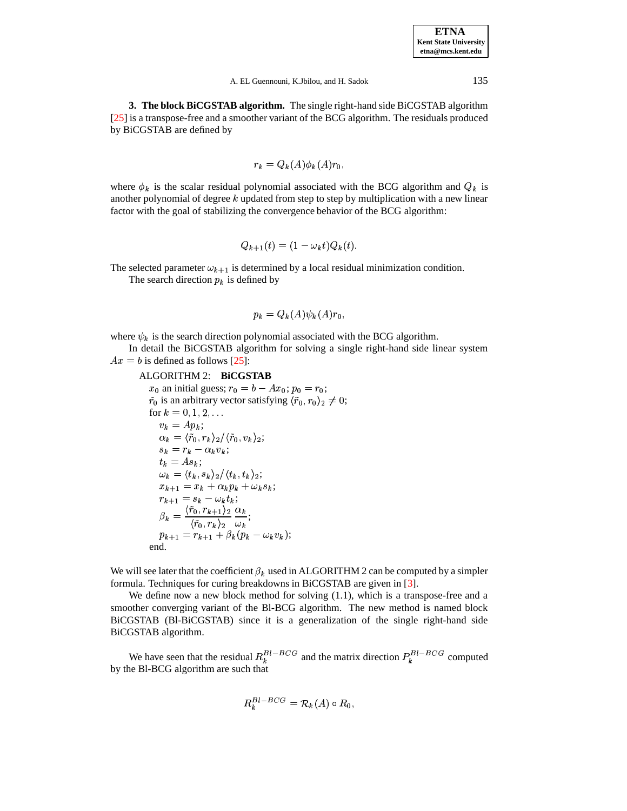**3. The block BiCGSTAB algorithm.** The single right-hand side BiCGSTAB algorithm [\[25\]](#page-13-20) is a transpose-free and a smoother variant of the BCG algorithm. The residuals produced by BiCGSTAB are defined by

$$
r_k = Q_k(A)\phi_k(A)r_0,
$$

where  $\phi_k$  is the scalar residual polynomial associated with the BCG algorithm and  $Q_k$  is another polynomial of degree  $k$  updated from step to step by multiplication with a new linear factor with the goal of stabilizing the convergence behavior of the BCG algorithm:

$$
Q_{k+1}(t) = (1 - \omega_k t) Q_k(t).
$$

The selected parameter  $\omega_{k+1}$  is determined by a local residual minimization condition. The search direction  $p_k$  is defined by

$$
p_k = Q_k(A)\psi_k(A)r_0,
$$

where  $\psi_k$  is the search direction polynomial associated with the BCG algorithm.

In detail the BiCGSTAB algorithm for solving a single right-hand side linear system  $Ax = b$  is defined as follows [\[25\]](#page-13-20):

## ALGORITHM 2: **BiCGSTAB**

 $x_0$  an initial guess;  $r_0 = b - Ax_0$ ;  $p_0 = r_0$ ;  $\tilde{r}_0$  is an arbitrary vector satisfying  $\langle \tilde{r}_0, r_0 \rangle_2 \neq 0;$ for  $k=0,1,2,\ldots$  $v_k = Ap_k;$  $\alpha_k = \langle \tilde{r}_0, r_k \rangle_2 / \langle \tilde{r}_0, v_k \rangle_2;$  $s_k = r_k - \alpha_k v_k;$  $t_k = A s_k;$  $\omega_k = \langle t_k, s_k \rangle_2 / \langle t_k, t_k \rangle_2;$  $x_{k+1} = x_k + \alpha_k p_k + \omega_k s_k;$  $r_{k+1} = s_k - \omega_k t_k;$  $\langle \tilde{r}_0, r_{k+1} \rangle_2 \alpha_k$  $\blacksquare$   $\langle {\tilde r}_0, r_k \rangle_2$   $\omega_k$   $\frac{\alpha_k}{\cdots}$ ;  $p_{k+1} = r_{k+1} + \beta_k (p_k - \omega_k v_k);$ end.

We will see later that the coefficient  $\beta_k$  used in ALGORITHM 2 can be computed by a simpler formula. Techniques for curing breakdowns in BiCGSTAB are given in [\[3\]](#page-12-1).

We define now a new block method for solving (1.1), which is a transpose-free and a smoother converging variant of the Bl-BCG algorithm. The new method is named block BiCGSTAB (Bl-BiCGSTAB) since it is a generalization of the single right-hand side BiCGSTAB algorithm.

We have seen that the residual  $R_k^{Bl-BCG}$  and the matrix direction  $P_k^{Bl-BCG}$  computed by the Bl-BCG algorithm are such that

$$
R_k^{Bl-BCG} = \mathcal{R}_k(A) \circ R_0,
$$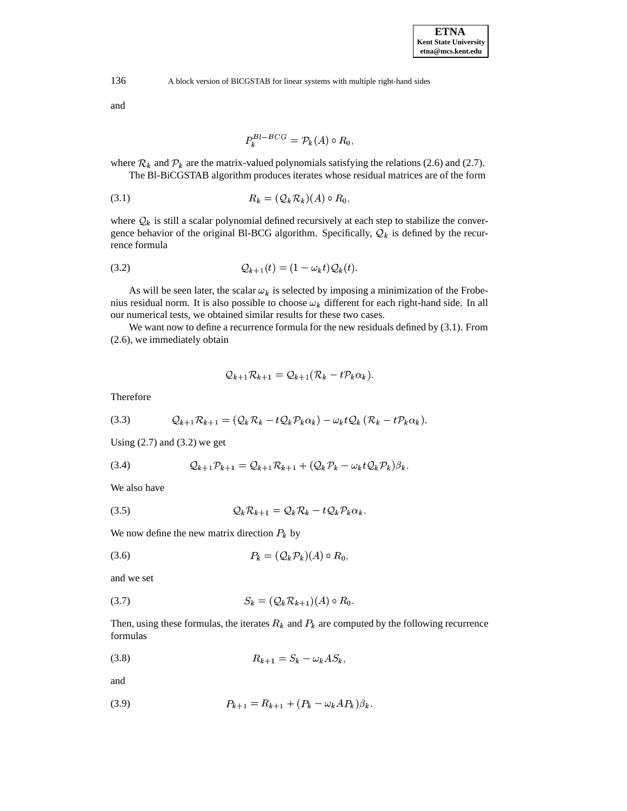and

$$
P_k^{Bl-BCG} = \mathcal{P}_k(A) \circ R_0,
$$

where  $\mathcal{R}_k$  and  $\mathcal{P}_k$  are the matrix-valued polynomials satisfying the relations (2.6) and (2.7). The Bl-BiCGSTAB algorithm produces iterates whose residual matrices are of the form

$$
(3.1) \t\t R_k = (\mathcal{Q}_k \mathcal{R}_k)(A) \circ R_0,
$$

where  $\mathcal{Q}_k$  is still a scalar polynomial defined recursively at each step to stabilize the convergence behavior of the original Bl-BCG algorithm. Specifically,  $\mathcal{Q}_k$  is defined by the recurrence formula

$$
Q_{k+1}(t) = (1 - \omega_k t) Q_k(t).
$$

As will be seen later, the scalar  $\omega_k$  is selected by imposing a minimization of the Frobenius residual norm. It is also possible to choose  $\omega_k$  different for each right-hand side. In all our numerical tests, we obtained similar results for these two cases.

We want now to define a recurrence formula for the new residuals defined by (3.1). From (2.6), we immediately obtain

$$
Q_{k+1}\mathcal{R}_{k+1} = Q_{k+1}(\mathcal{R}_k - t\mathcal{P}_k\alpha_k).
$$

Therefore

$$
(3.3) \qquad \mathcal{Q}_{k+1}\mathcal{R}_{k+1} = (\mathcal{Q}_k\mathcal{R}_k - t\mathcal{Q}_k\mathcal{P}_k\alpha_k) - \omega_k t\mathcal{Q}_k(\mathcal{R}_k - t\mathcal{P}_k\alpha_k).
$$

Using  $(2.7)$  and  $(3.2)$  we get

$$
(3.4) \qquad \qquad \mathcal{Q}_{k+1}\mathcal{P}_{k+1}=\mathcal{Q}_{k+1}\mathcal{R}_{k+1}+(\mathcal{Q}_k\mathcal{P}_k-\omega_k t\mathcal{Q}_k\mathcal{P}_k)\beta_k.
$$

We also have

$$
Q_k \mathcal{R}_{k+1} = Q_k \mathcal{R}_k - t Q_k \mathcal{P}_k \alpha_k.
$$

We now define the new matrix direction  $P_k$  by

$$
(3.6) \t\t\t P_k = (\mathcal{Q}_k \mathcal{P}_k)(A) \circ R_0,
$$

and we set

$$
(3.7) \tSk = (Qk Rk+1)(A) \circ R0.
$$

Then, using these formulas, the iterates  $R_k$  and  $P_k$  are computed by the following recurrence formulas

$$
(3.8) \t\t R_{k+1} = S_k - \omega_k AS_k,
$$

and

(3.9) 
$$
P_{k+1} = R_{k+1} + (P_k - \omega_k AP_k)\beta_k.
$$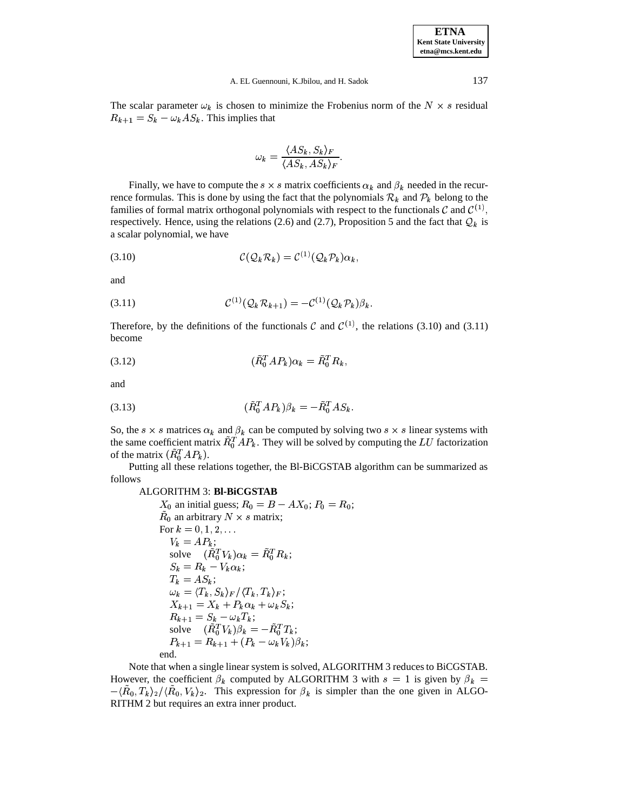| <b>ETNA</b>                  |
|------------------------------|
| <b>Kent State University</b> |
| etna@mcs.kent.edu            |

#### A. EL Guennouni, K.Jbilou, and H. Sadok 137

The scalar parameter  $\omega_k$  is chosen to minimize the Frobenius norm of the  $N \times s$  residual  $R_{k+1} = S_k - \omega_k AS_k$ . This implies that

$$
\omega_k = \frac{\langle AS_k, S_k \rangle_F}{\langle AS_k, AS_k \rangle_F}.
$$

Finally, we have to compute the  $s \times s$  matrix coefficients  $\alpha_k$  and  $\beta_k$  needed in the recurrence formulas. This is done by using the fact that the polynomials  $\mathcal{R}_k$  and  $\mathcal{P}_k$  belong to the families of formal matrix orthogonal polynomials with respect to the functionals  $\mathcal C$  and  $\mathcal C^{(1)}$ , respectively. Hence, using the relations (2.6) and (2.7), Proposition 5 and the fact that  $Q_k$  is a scalar polynomial, we have

$$
C(\mathcal{Q}_k \mathcal{R}_k) = C^{(1)}(\mathcal{Q}_k \mathcal{P}_k) \alpha_k,
$$

and

$$
\mathcal{C}^{(1)}(\mathcal{Q}_k \mathcal{R}_{k+1}) = -\mathcal{C}^{(1)}(\mathcal{Q}_k \mathcal{P}_k)\beta_k.
$$

Therefore, by the definitions of the functionals C and  $\mathcal{C}^{(1)}$ , the relations (3.10) and (3.11) become

$$
(3.12)\qquad \qquad (\overline{R}_0^T A P_k) \alpha_k = \overline{R}_0^T R_k,
$$

and

(3.13) - F4 ? <sup>2</sup> ? <sup>V</sup> F4 

So, the  $s \times s$  matrices  $\alpha_k$  and  $\beta_k$  can be computed by solving two  $s \times s$  linear systems with the same coefficient matrix  $R_1^T AP_k$ . They will be solved by computing the LU factorization of the matrix  $(R_0^TAP_k)$ .

Putting all these relations together, the Bl-BiCGSTAB algorithm can be summarized as follows

ALGORITHM 3: **Bl-BiCGSTAB**  
\n
$$
X_0
$$
 an initial guess;  $R_0 = B - AX_0$ ;  $P_0 = R_0$ ;  
\n $\tilde{R}_0$  an arbitrary  $N \times s$  matrix;  
\nFor  $k = 0, 1, 2, ...$   
\n $V_k = AP_k$ ;  
\nsolve  $(\tilde{R}_0^T V_k) \alpha_k = \tilde{R}_0^T R_k$ ;  
\n $S_k = R_k - V_k \alpha_k$ ;  
\n $T_k = AS_k$ ;  
\n $\omega_k = \langle T_k, S_k \rangle_F / \langle T_k, T_k \rangle_F$ ;  
\n $X_{k+1} = X_k + P_k \alpha_k + \omega_k S_k$ ;  
\n $R_{k+1} = S_k - \omega_k T_k$ ;  
\nsolve  $(\tilde{R}_0^T V_k) \beta_k = -\tilde{R}_0^T T_k$ ;  
\n $P_{k+1} = R_{k+1} + (P_k - \omega_k V_k) \beta_k$ ;  
\nend.

Note that when a single linear system is solved, ALGORITHM 3 reduces to BiCGSTAB. However, the coefficient  $\beta_k$  computed by ALGORITHM 3 with  $s = 1$  is given by  $\beta_k =$  $-\langle R_0, T_k \rangle_2 / \langle R_0, V_k \rangle_2$ . This expression for  $\beta_k$  is simpler than the one given in ALGO-RITHM 2 but requires an extra inner product.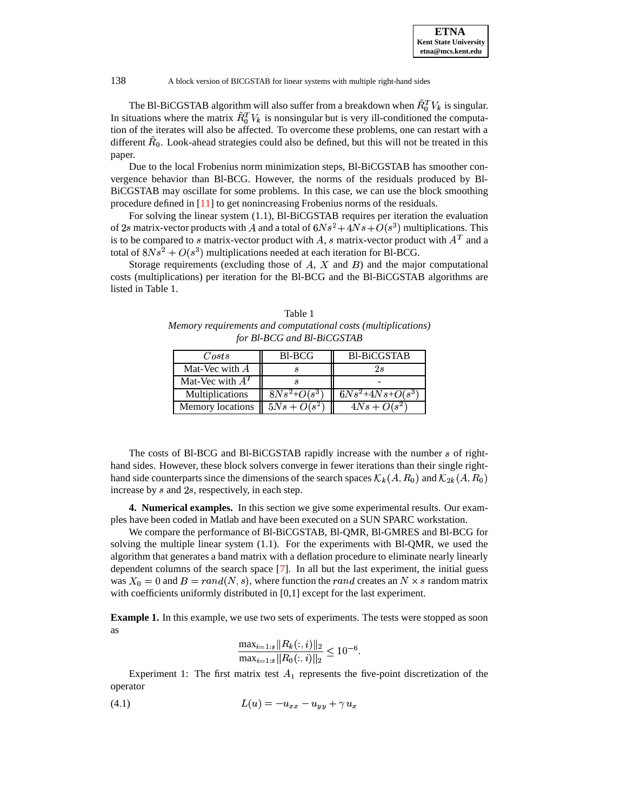The Bl-BiCGSTAB algorithm will also suffer from a breakdown when  $R_0^T V_k$  is singular. In situations where the matrix  $R_0^T V_k$  is nonsingular but is very ill-conditioned the computation of the iterates will also be affected. To overcome these problems, one can restart with a different  $R_0$ . Look-ahead strategies could also be defined, but this will not be treated in this paper.

Due to the local Frobenius norm minimization steps, Bl-BiCGSTAB has smoother convergence behavior than Bl-BCG. However, the norms of the residuals produced by Bl-BiCGSTAB may oscillate for some problems. In this case, we can use the block smoothing procedure defined in [\[11\]](#page-13-19) to get nonincreasing Frobenius norms of the residuals.

For solving the linear system (1.1), Bl-BiCGSTAB requires per iteration the evaluation of 2s matrix-vector products with A and a total of  $6Ns^2 + 4Ns + O(s^3)$  multiplications. This is to be compared to s matrix-vector product with A, s matrix-vector product with  $A<sup>T</sup>$  and a total of  $8Ns^2 + O(s^3)$  multiplications needed at each iteration for Bl-BCG.

Storage requirements (excluding those of  $A$ ,  $X$  and  $B$ ) and the major computational costs (multiplications) per iteration for the Bl-BCG and the Bl-BiCGSTAB algorithms are listed in Table 1.

Table 1 *Memory requirements and computational costs (multiplications) for Bl-BCG and Bl-BiCGSTAB*

| Costs                   | B <sub>1</sub> -BCG | <b>Bl-BiCGSTAB</b>        |  |
|-------------------------|---------------------|---------------------------|--|
| Mat-Vec with $A$        |                     | ΖS                        |  |
| Mat-Vec with $AT$       |                     |                           |  |
| Multiplications         | $8Ns^2+O(s^3)$      | $\sqrt{6Ns^2+4Ns+O(s^3)}$ |  |
| <b>Memory locations</b> | $5Ns + O(s^2)$      | $4Ns + O(s^2)$            |  |

The costs of Bl-BCG and Bl-BiCGSTAB rapidly increase with the number  $s$  of righthand sides. However, these block solvers converge in fewer iterations than their single righthand side counterparts since the dimensions of the search spaces  $\mathcal{K}_k(A, R_0)$  and  $\mathcal{K}_{2k}(A, R_0)$  $\mathbf{z}$  and  $\mathbf{z}$  and  $\mathbf{z}$  and  $\mathbf{z}$ increase by  $s$  and  $2s$ , respectively, in each step.

**4. Numerical examples.** In this section we give some experimental results. Our examples have been coded in Matlab and have been executed on a SUN SPARC workstation.

We compare the performance of Bl-BiCGSTAB, Bl-QMR, Bl-GMRES and Bl-BCG for solving the multiple linear system (1.1). For the experiments with Bl-QMR, we used the algorithm that generates a band matrix with a deflation procedure to eliminate nearly linearly dependent columns of the search space [\[7\]](#page-13-5). In all but the last experiment, the initial guess was  $X_0 = 0$  and  $B = rand(N, s)$ , where function the *rand* creates an  $N \times s$  random matrix with coefficients uniformly distributed in [0,1] except for the last experiment.

**Example 1.** In this example, we use two sets of experiments. The tests were stopped as soon as

$$
\frac{\max_{i=1:s} ||R_k(:,i)||_2}{\max_{i=1:s} ||R_0(:,i)||_2} \le 10^{-6}.
$$

Experiment 1: The first matrix test  $A_1$  represents the five-point discretization of the operator

$$
(4.1) \t\t\t L(u) = -u_{xx} - u_{yy} + \gamma u_x
$$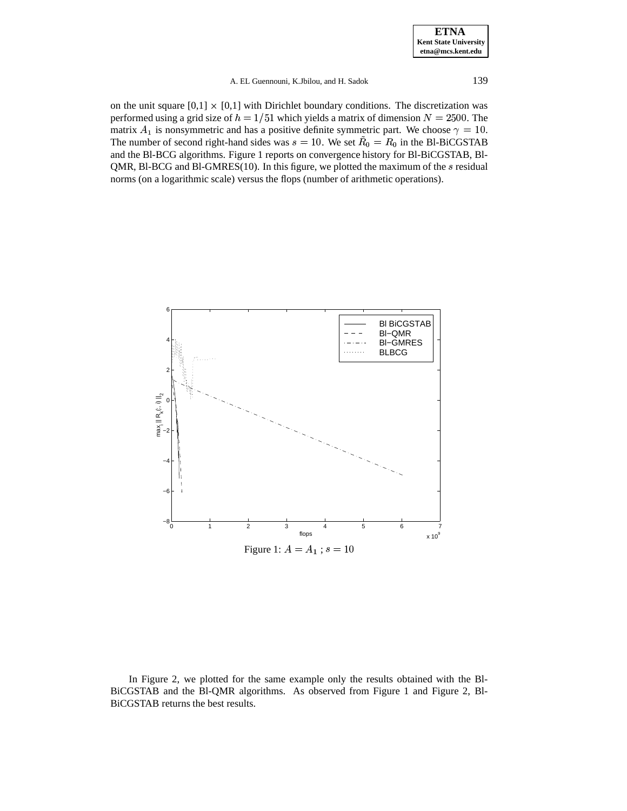### A. EL Guennouni, K.Jbilou, and H. Sadok 139

on the unit square  $[0,1] \times [0,1]$  with Dirichlet boundary conditions. The discretization was performed using a grid size of  $h = 1/51$  which yields a matrix of dimension  $N = 2500$ . The matrix  $A_1$  is nonsymmetric and has a positive definite symmetric part. We choose  $\gamma = 10$ . The number of second right-hand sides was  $s = 10$ . We set  $R_0 = R_0$  in the Bl-BiCGSTAB and the Bl-BCG algorithms. Figure 1 reports on convergence history for Bl-BiCGSTAB, Bl-QMR, Bl-BCG and Bl-GMRES(10). In this figure, we plotted the maximum of the  $s$  residual norms (on a logarithmic scale) versus the flops (number of arithmetic operations).



In Figure 2, we plotted for the same example only the results obtained with the Bl-BiCGSTAB and the Bl-QMR algorithms. As observed from Figure 1 and Figure 2, Bl-BiCGSTAB returns the best results.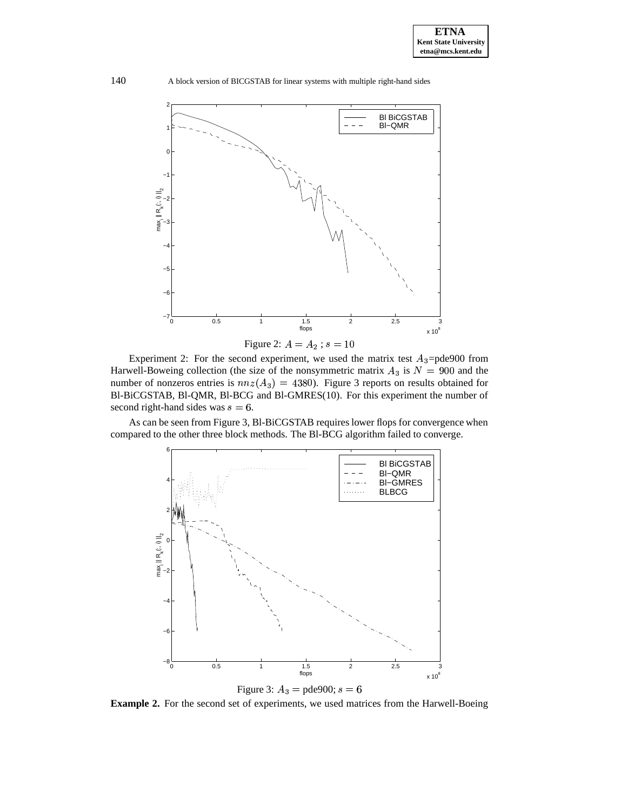

Experiment 2: For the second experiment, we used the matrix test  $A_3 =$ pde900 from

Harwell-Boweing collection (the size of the nonsymmetric matrix  $A_3$  is  $N = 900$  and the number of nonzeros entries is  $nnz(A_3) = 4380$ . Figure 3 reports on results obtained for Bl-BiCGSTAB, Bl-QMR, Bl-BCG and Bl-GMRES(10). For this experiment the number of second right-hand sides was  $s = 6$ .

As can be seen from Figure 3, Bl-BiCGSTAB requires lower flops for convergence when compared to the other three block methods. The Bl-BCG algorithm failed to converge.



**Example 2.** For the second set of experiments, we used matrices from the Harwell-Boeing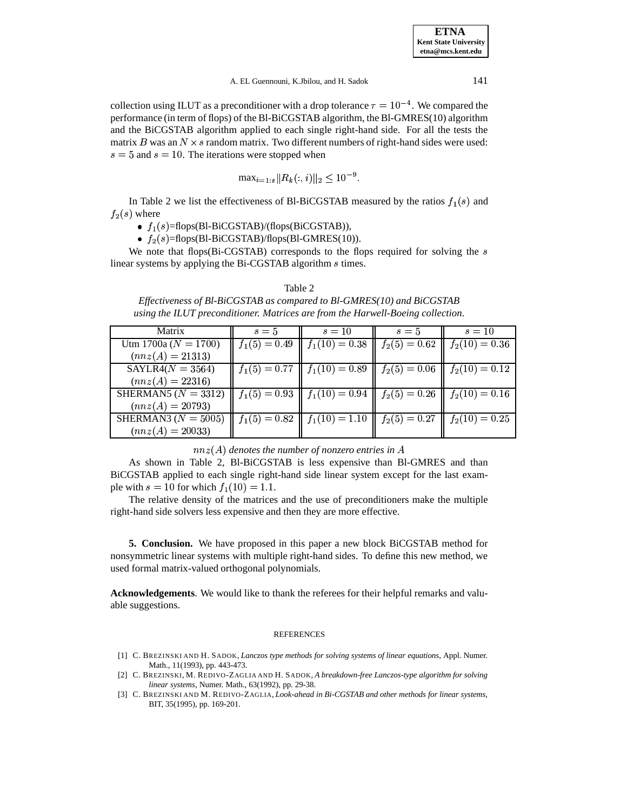collection using ILUT as a preconditioner with a drop tolerance  $\tau = 10^{-4}$ . We compared the performance (in term of flops) of the Bl-BiCGSTAB algorithm, the Bl-GMRES(10) algorithm and the BiCGSTAB algorithm applied to each single right-hand side. For all the tests the matrix B was an  $N \times s$  random matrix. Two different numbers of right-hand sides were used:  $s = 5$  and  $s = 10$ . The iterations were stopped when

$$
\max_{i=1:s} ||R_k(:,i)||_2 \le 10^{-9}.
$$

In Table 2 we list the effectiveness of Bl-BiCGSTAB measured by the ratios  $f_1(s)$  and  $f_2(s)$  where

•  $f_1(s)$ =flops(Bl-BiCGSTAB)/(flops(BiCGSTAB)),

 $f_2(s)$ =flops(Bl-BiCGSTAB)/flops(Bl-GMRES(10)).

We note that flops(Bi-CGSTAB) corresponds to the flops required for solving the  $s$ linear systems by applying the Bi-CGSTAB algorithm *s* times.

#### Table 2

*Effectiveness of Bl-BiCGSTAB as compared to Bl-GMRES(10) and BiCGSTAB using the ILUT preconditioner. Matrices are from the Harwell-Boeing collection.*

| Matrix                   | $s=5$ | $s=10$                                                                     | $s=5$ | $s=10$ |  |
|--------------------------|-------|----------------------------------------------------------------------------|-------|--------|--|
| Utm 1700a ( $N = 1700$ ) |       | $\  f_1(5) = 0.49 \  f_1(10) = 0.38 \  f_2(5) = 0.62 \  f_2(10) = 0.36$    |       |        |  |
| $(nnz(A) = 21313)$       |       |                                                                            |       |        |  |
| $SAYLR4(N = 3564)$       |       | $f_1(5) = 0.77$    $f_1(10) = 0.89$    $f_2(5) = 0.06$    $f_2(10) = 0.12$ |       |        |  |
| $(nnz(A) = 22316)$       |       |                                                                            |       |        |  |
| SHERMAN5 $(N = 3312)$    |       | $\  f_1(5) = 0.93 \  f_1(10) = 0.94 \  f_2(5) = 0.26 \  f_2(10) = 0.16$    |       |        |  |
| $(nnz(A) = 20793)$       |       |                                                                            |       |        |  |
| SHERMAN3 ( $N = 5005$ )  |       | $\  f_1(5) = 0.82 \  f_1(10) = 1.10 \  f_2(5) = 0.27 \  f_2(10) = 0.25$    |       |        |  |
| $(nnz(A) = 20033)$       |       |                                                                            |       |        |  |

 $nnz(A)$  denotes the number of nonzero entries in  $A$ 

As shown in Table 2, Bl-BiCGSTAB is less expensive than Bl-GMRES and than BiCGSTAB applied to each single right-hand side linear system except for the last example with  $s = 10$  for which  $f_1(10) = 1.1$ .

 The relative density of the matrices and the use of preconditioners make the multiple right-hand side solvers less expensive and then they are more effective.

**5. Conclusion.** We have proposed in this paper a new block BiCGSTAB method for nonsymmetric linear systems with multiple right-hand sides. To define this new method, we used formal matrix-valued orthogonal polynomials.

**Acknowledgements**. We would like to thank the referees for their helpful remarks and valuable suggestions.

#### REFERENCES

- <span id="page-12-0"></span>[1] C. BREZINSKI AND H. SADOK, *Lanczos type methods for solving systems of linear equations*, Appl. Numer. Math., 11(1993), pp. 443-473.
- [2] C. BREZINSKI, M. REDIVO-ZAGLIA AND H. SADOK, *A breakdown-free Lanczos-type algorithm for solving linear systems*, Numer. Math., 63(1992), pp. 29-38.
- <span id="page-12-1"></span>[3] C. BREZINSKI AND M. REDIVO-ZAGLIA, *Look-ahead in Bi-CGSTAB and other methods for linear systems*, BIT, 35(1995), pp. 169-201.